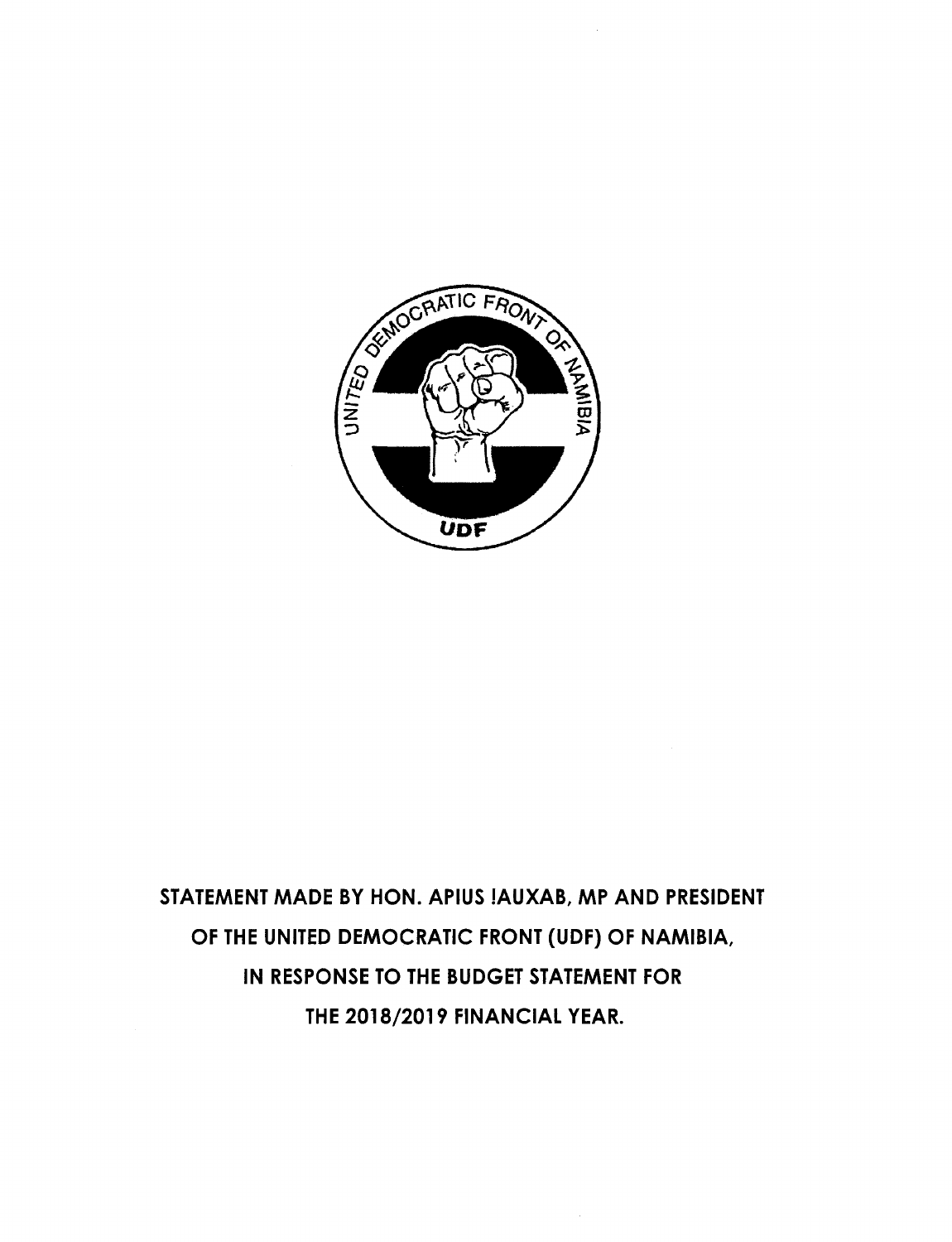

STATEMENT MADE BY HON. APIUS !AUXAB, MP AND PRESIDENT OF THE UNITED DEMOCRATIC FRONT (UDF) OF NAMIBIA, IN RESPONSE TO THE BUDGET STATEMENT FOR THE 2018/2019 FINANCIAL YEAR.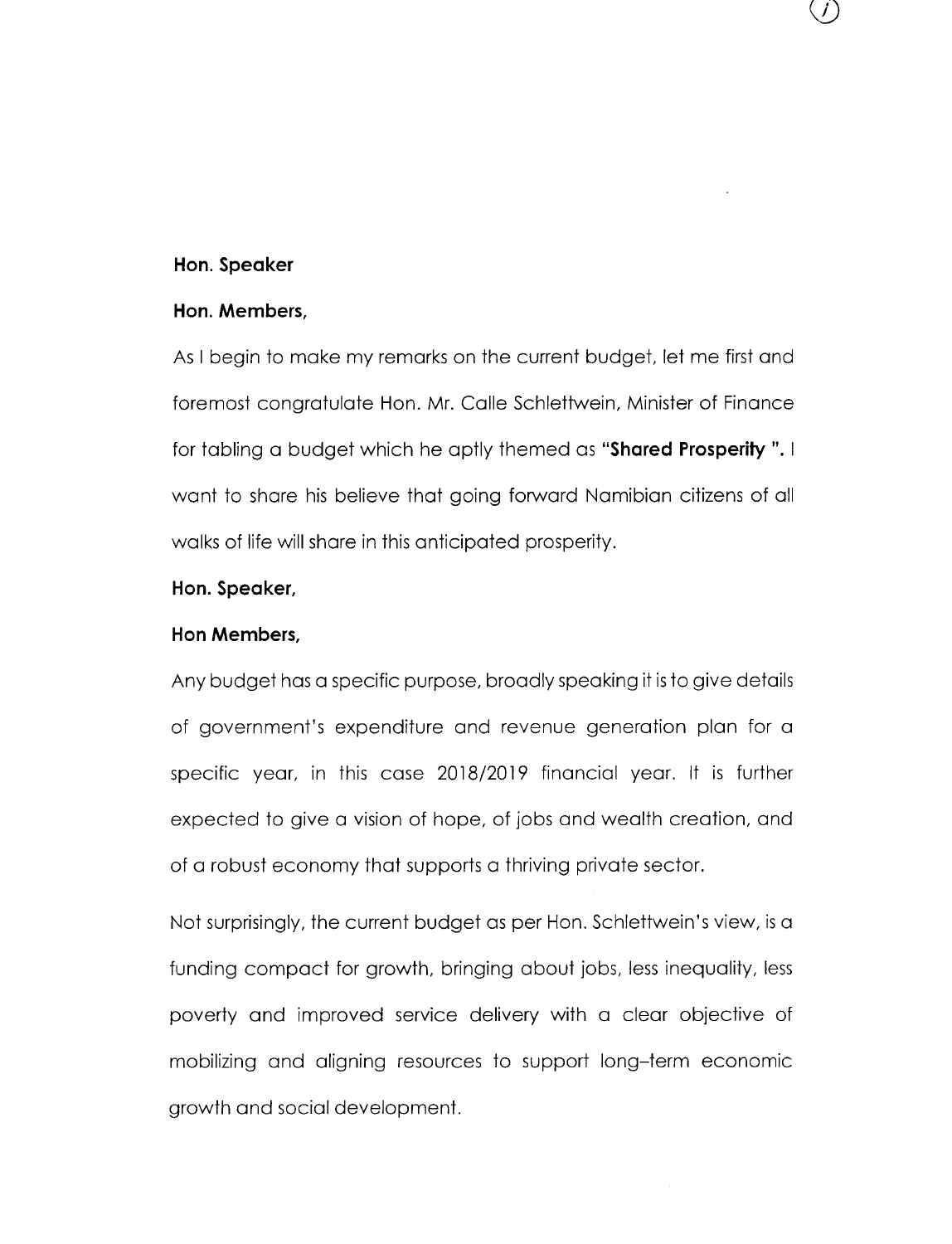#### **Hon. Speaker**

### **Hon. Members,**

As I begin to make my remarks on the current budget, let me first and foremost congratulate Hon. Mr. Calle Schlettwein, Minister of Finance for tabling a budget which he aptly themed as **"Shared Prosperity".** I want to share his believe that going forward Namibian citizens of all walks of life will share in this anticipated prosperity.

 $\int$ 

## **Hon. Speaker,**

### **Hon Members,**

Any budget has a specific purpose, broadly speaking it is to give details of government's expenditure and revenue generation plan for a specific year, in this case 2018/2019 financial year. It is further expected to give a vision of hope, of jobs and wealth creation, and of a robust economy that supports a thriving private sector.

Not surprisingly, the current budget as per Hon. Schlettwein's view, is a funding compact for growth, bringing about jobs, less inequality, less poverty and improved service delivery with a clear objective of mobilizing and aligning resources to support long-term economic growth and social development.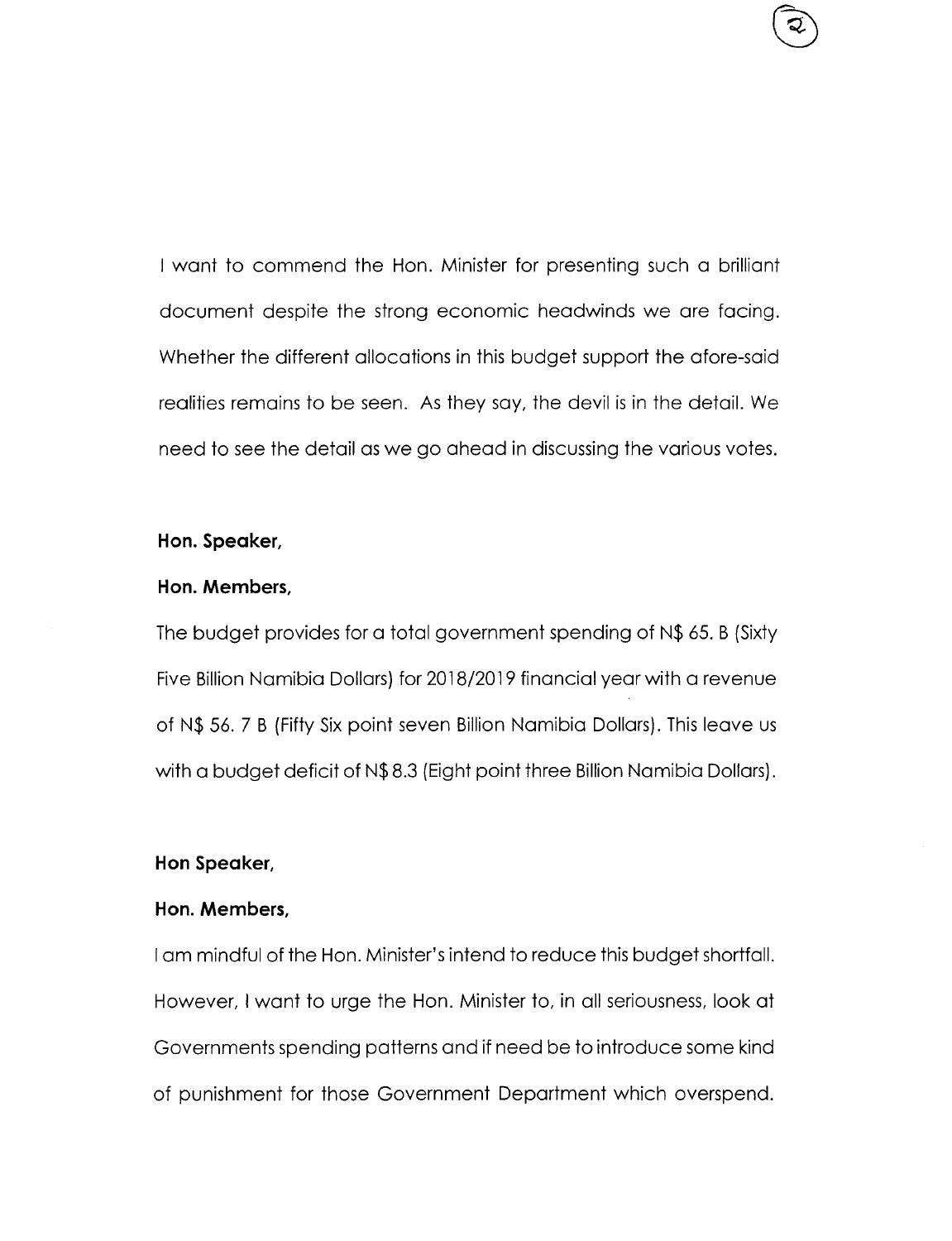I want to commend the Hon. Minister for presenting such a brilliant document despite the strong economic headwinds we are facing. Whether the different allocations in this budget support the afore-said realities remains to be seen. As they say, the devil is in the detail. We need to see the detail as we go ahead in discussing the various votes.

## **Hon. Speaker,**

## **Hon. Members,**

The budget provides for a total government spending of N\$ 65. B (Sixty Five Billion Namibia Dollars) for 2018/2019 financial year with a revenue of N\$ 56. 7 B (Fifty Six point seven Billion Namibia Dollars). This leave us with a budget deficit of N\$8.3 (Eight point three Billion Namibia Dollars).

## **Hon Speaker,**

# **Hon. Members,**

Iam mindful of the Hon. Minister's intend to reduce this budget shortfall. However, I want to urge the Hon. Minister to, in all seriousness, look at Governments spending patterns and if need be to introduce some kind of punishment for those Government Department which overspend.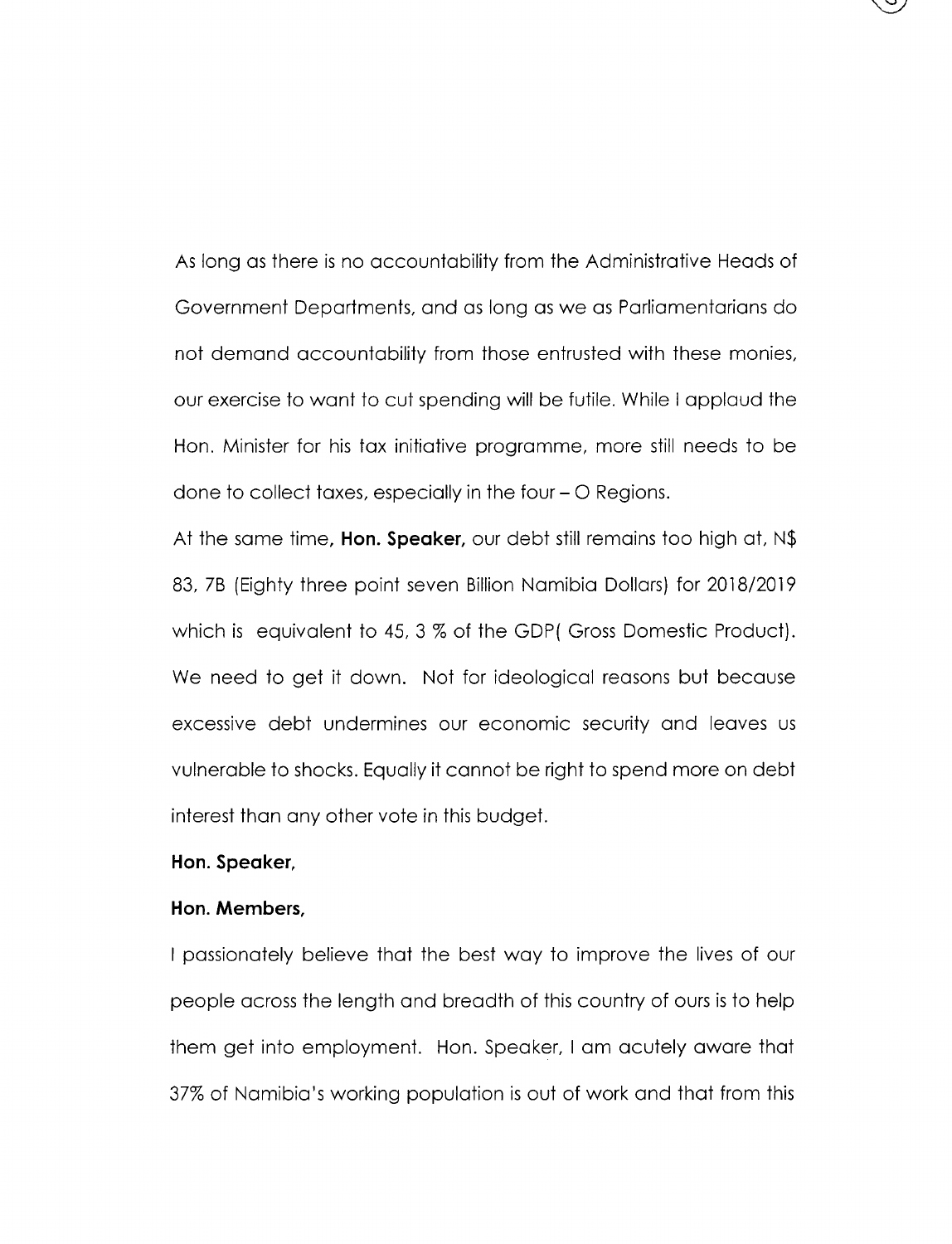As long as there is no accountability from the Administrative Heads of Government Departments, and as long as we as Parliamentarians do not demand accountability from those entrusted with these monies, our exercise to want to cut spending will be futile. While I applaud the Hon. Minister for his tax initiative programme, more still needs to be done to collect taxes, especially in the four - O Regions.

At the same time, **Hon. Speaker**, our debt still remains too high at, N\$ 83, 7B (Eighty three point seven Billion Namibia Dollars) for 2018/2019 which is equivalent to 45, 3 % of the GDP( Gross Domestic Product). We need to get it down. Not for ideological reasons but because excessive debt undermines our economic security and leaves us vulnerable to shocks.Equally it cannot be right to spend more on debt interest than any other vote in this budget.

# **Hon. Speaker,**

### **Hon. Members,**

I passionately believe that the best way to improve the lives of our people across the length and breadth of this country of ours is to help them get into employment. Hon. Speaker, I am acutely aware that 37% of Namibia's working population is out of work and that from this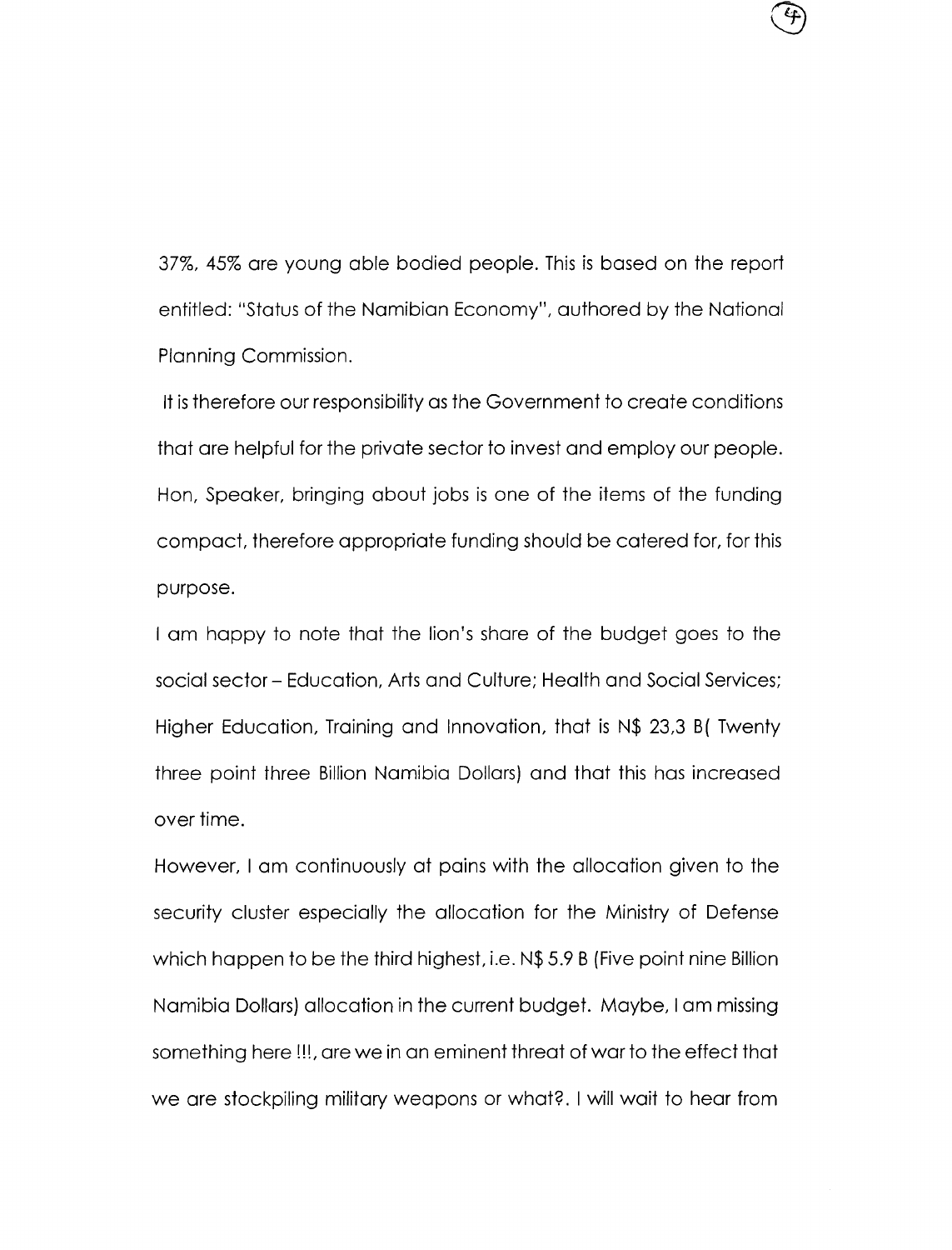37%,45% are young able bodied people. Thisis based on the report entitled: "Status of the Namibian Economy", authored by the National Planning Commission.

It is therefore our responsibility as the Government to create conditions that are helpful for the private sector to invest and employ our people. Hon. Speaker, bringing about jobs is one of the items of the funding compact, therefore appropriate funding should be catered for, for this purpose.

I am happy to note that the lion's share of the budget goes to the social sector - Education, Arts and Culture; Health and Social Services; Higher Education, Training and Innovation, that is N\$ 23,3 B( Twenty three point three Billion Namibia Dollars) and that this has increased over time.

However, I am continuously at pains with the allocation given to the security cluster especially the allocation for the Ministry of Defense which happen to be the third highest, i.e. N\$5.9 B (Five point nine Billion Namibia Dollars) allocation in the current budget. Maybe, I am missing something here !!!, are we in an eminent threat of war to the effect that we are stockpiling military weapons or what? I will wait to hear from